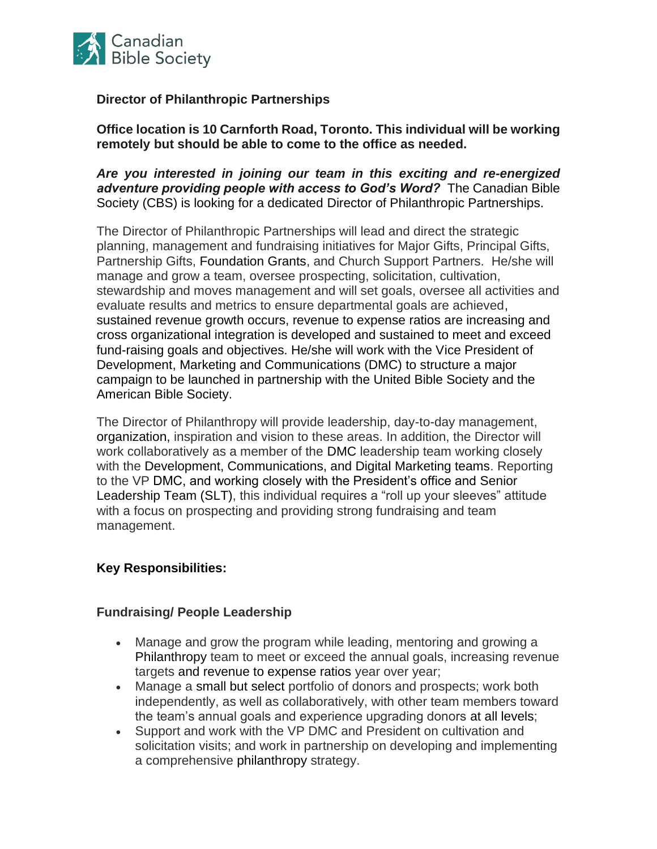

## **Director of Philanthropic Partnerships**

**Office location is 10 Carnforth Road, Toronto. This individual will be working remotely but should be able to come to the office as needed.**

*Are you interested in joining our team in this exciting and re-energized adventure providing people with access to God's Word?* The Canadian Bible Society (CBS) is looking for a dedicated Director of Philanthropic Partnerships.

The Director of Philanthropic Partnerships will lead and direct the strategic planning, management and fundraising initiatives for Major Gifts, Principal Gifts, Partnership Gifts, Foundation Grants, and Church Support Partners. He/she will manage and grow a team, oversee prospecting, solicitation, cultivation, stewardship and moves management and will set goals, oversee all activities and evaluate results and metrics to ensure departmental goals are achieved, sustained revenue growth occurs, revenue to expense ratios are increasing and cross organizational integration is developed and sustained to meet and exceed fund-raising goals and objectives. He/she will work with the Vice President of Development, Marketing and Communications (DMC) to structure a major campaign to be launched in partnership with the United Bible Society and the American Bible Society.

The Director of Philanthropy will provide leadership, day-to-day management, organization, inspiration and vision to these areas. In addition, the Director will work collaboratively as a member of the DMC leadership team working closely with the Development, Communications, and Digital Marketing teams. Reporting to the VP DMC, and working closely with the President's office and Senior Leadership Team (SLT), this individual requires a "roll up your sleeves" attitude with a focus on prospecting and providing strong fundraising and team management.

### **Key Responsibilities:**

### **Fundraising/ People Leadership**

- Manage and grow the program while leading, mentoring and growing a Philanthropy team to meet or exceed the annual goals, increasing revenue targets and revenue to expense ratios year over year;
- Manage a small but select portfolio of donors and prospects; work both independently, as well as collaboratively, with other team members toward the team's annual goals and experience upgrading donors at all levels;
- Support and work with the VP DMC and President on cultivation and solicitation visits; and work in partnership on developing and implementing a comprehensive philanthropy strategy.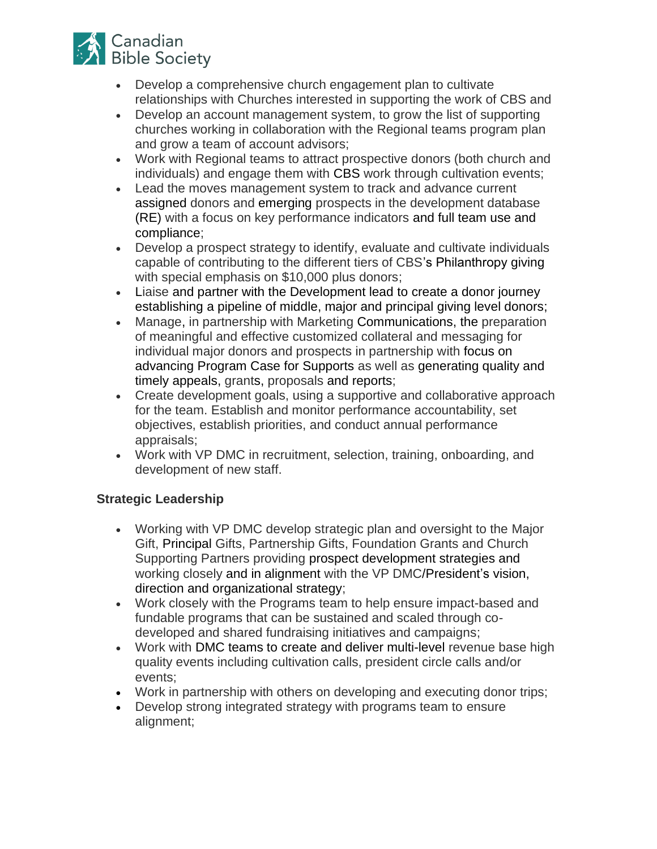

- Develop a comprehensive church engagement plan to cultivate relationships with Churches interested in supporting the work of CBS and
- Develop an account management system, to grow the list of supporting churches working in collaboration with the Regional teams program plan and grow a team of account advisors;
- Work with Regional teams to attract prospective donors (both church and individuals) and engage them with CBS work through cultivation events;
- Lead the moves management system to track and advance current assigned donors and emerging prospects in the development database (RE) with a focus on key performance indicators and full team use and compliance;
- Develop a prospect strategy to identify, evaluate and cultivate individuals capable of contributing to the different tiers of CBS's Philanthropy giving with special emphasis on \$10,000 plus donors;
- Liaise and partner with the Development lead to create a donor journey establishing a pipeline of middle, major and principal giving level donors;
- Manage, in partnership with Marketing Communications, the preparation of meaningful and effective customized collateral and messaging for individual major donors and prospects in partnership with focus on advancing Program Case for Supports as well as generating quality and timely appeals, grants, proposals and reports;
- Create development goals, using a supportive and collaborative approach for the team. Establish and monitor performance accountability, set objectives, establish priorities, and conduct annual performance appraisals;
- Work with VP DMC in recruitment, selection, training, onboarding, and development of new staff.

# **Strategic Leadership**

- Working with VP DMC develop strategic plan and oversight to the Major Gift, Principal Gifts, Partnership Gifts, Foundation Grants and Church Supporting Partners providing prospect development strategies and working closely and in alignment with the VP DMC/President's vision, direction and organizational strategy;
- Work closely with the Programs team to help ensure impact-based and fundable programs that can be sustained and scaled through codeveloped and shared fundraising initiatives and campaigns;
- Work with DMC teams to create and deliver multi-level revenue base high quality events including cultivation calls, president circle calls and/or events;
- Work in partnership with others on developing and executing donor trips;
- Develop strong integrated strategy with programs team to ensure alignment;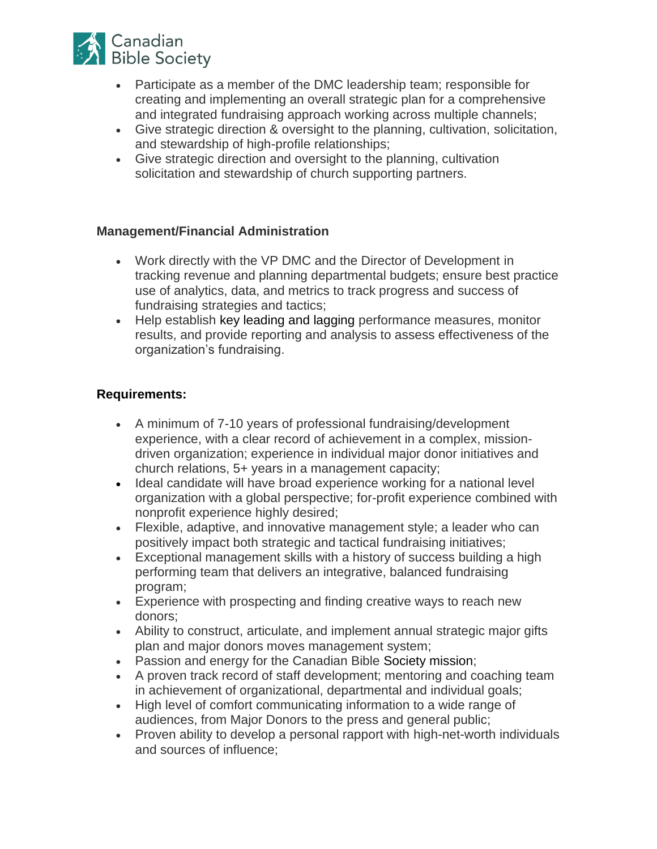

- Participate as a member of the DMC leadership team; responsible for creating and implementing an overall strategic plan for a comprehensive and integrated fundraising approach working across multiple channels;
- Give strategic direction & oversight to the planning, cultivation, solicitation, and stewardship of high-profile relationships;
- Give strategic direction and oversight to the planning, cultivation solicitation and stewardship of church supporting partners.

#### **Management/Financial Administration**

- Work directly with the VP DMC and the Director of Development in tracking revenue and planning departmental budgets; ensure best practice use of analytics, data, and metrics to track progress and success of fundraising strategies and tactics;
- Help establish key leading and lagging performance measures, monitor results, and provide reporting and analysis to assess effectiveness of the organization's fundraising.

#### **Requirements:**

- A minimum of 7-10 years of professional fundraising/development experience, with a clear record of achievement in a complex, missiondriven organization; experience in individual major donor initiatives and church relations, 5+ years in a management capacity;
- Ideal candidate will have broad experience working for a national level organization with a global perspective; for-profit experience combined with nonprofit experience highly desired;
- Flexible, adaptive, and innovative management style; a leader who can positively impact both strategic and tactical fundraising initiatives;
- Exceptional management skills with a history of success building a high performing team that delivers an integrative, balanced fundraising program;
- Experience with prospecting and finding creative ways to reach new donors;
- Ability to construct, articulate, and implement annual strategic major gifts plan and major donors moves management system;
- Passion and energy for the Canadian Bible Society mission;
- A proven track record of staff development; mentoring and coaching team in achievement of organizational, departmental and individual goals;
- High level of comfort communicating information to a wide range of audiences, from Major Donors to the press and general public;
- Proven ability to develop a personal rapport with high-net-worth individuals and sources of influence;